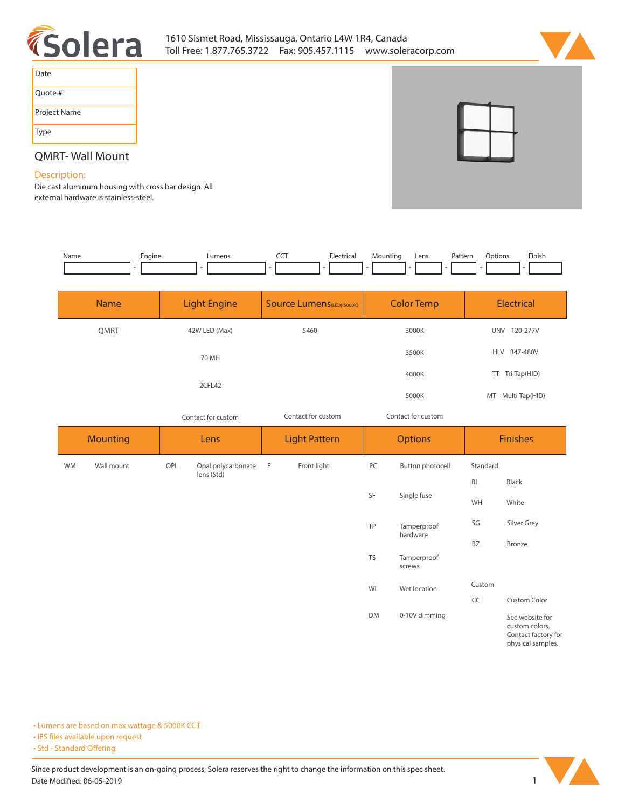



| Date         |  |
|--------------|--|
| Ouote #      |  |
| Project Name |  |
| <b>Type</b>  |  |

# **QMRT- Wall Mount**

### **Description:**

**Die cast aluminum housing with cross bar design. All external hardware is stainless-steel.** 

| Name | cnaine | Lumens | --- | Flectrical<br>IC.d | Mounting | Lens | Pattern | Jotions | Finish |
|------|--------|--------|-----|--------------------|----------|------|---------|---------|--------|
|      |        |        |     |                    |          |      |         |         |        |

| <b>Name</b> | <b>Light Engine</b> | <b>Source Lumens</b> (LED)(5000K)<br><b>Color Temp</b> |       | <b>Electrical</b> |  |
|-------------|---------------------|--------------------------------------------------------|-------|-------------------|--|
| <b>QMRT</b> | 42W LED (Max)       | 5460                                                   | 3000K | 120-277V<br>UNV   |  |
|             | 70 MH               |                                                        | 3500K | HLV 347-480V      |  |
|             | 2CFL42              |                                                        | 4000K | TT Tri-Tap(HID)   |  |
|             |                     |                                                        | 5000K | MT Multi-Tap(HID) |  |

*Contact for custom Contact for custom*

*Contact for custom*

|           | <b>Mounting</b> | <b>Options</b><br><b>Light Pattern</b><br>Lens |                    | <b>Finishes</b> |             |           |                         |           |                                                                               |
|-----------|-----------------|------------------------------------------------|--------------------|-----------------|-------------|-----------|-------------------------|-----------|-------------------------------------------------------------------------------|
| <b>WM</b> | Wall mount      | OPL                                            | Opal polycarbonate | -F              | Front light | PC        | Button photocell        | Standard  |                                                                               |
|           |                 | lens (Std)<br>SF                               |                    |                 |             |           |                         | <b>BL</b> | Black                                                                         |
|           |                 |                                                | Single fuse        | WH              | White       |           |                         |           |                                                                               |
|           |                 |                                                |                    |                 |             | TP        | Tamperproof<br>hardware | SG        | Silver Grey                                                                   |
|           |                 |                                                |                    |                 |             |           |                         | <b>BZ</b> | Bronze                                                                        |
|           |                 |                                                |                    |                 |             | <b>TS</b> | Tamperproof<br>screws   |           |                                                                               |
|           |                 |                                                |                    |                 |             | WL        | Wet location            | Custom    |                                                                               |
|           |                 |                                                |                    |                 |             |           |                         | CC        | Custom Color                                                                  |
|           |                 |                                                |                    |                 |             | DM        | 0-10V dimming           |           | See website for<br>custom colors.<br>Contact factory for<br>physical samples. |

**• Lumens are based on max wattage & 5000K CCT**

**• IES files available upon request** 

• Std - Standard Offering

Since product development is an on-going process, Solera reserves the right to change the information on this spec sheet. **Date Modified: 06-05-2019** 1